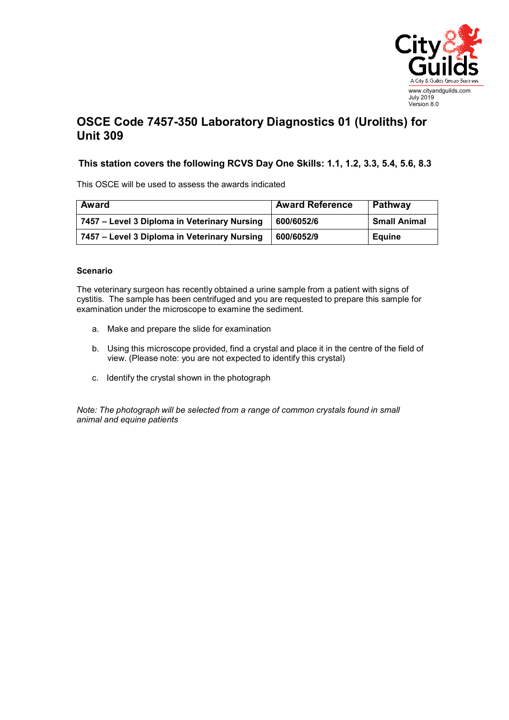

## **OSCE Code 7457-350 Laboratory Diagnostics 01 (Uroliths) for Unit 309**

## **This station covers the following RCVS Day One Skills: 1.1, 1.2, 3.3, 5.4, 5.6, 8.3**

This OSCE will be used to assess the awards indicated

| Award                                        | <b>Award Reference</b> | Pathway             |
|----------------------------------------------|------------------------|---------------------|
| 7457 – Level 3 Diploma in Veterinary Nursing | 600/6052/6             | <b>Small Animal</b> |
| 7457 – Level 3 Diploma in Veterinary Nursing | 600/6052/9             | <b>Equine</b>       |

## **Scenario**

The veterinary surgeon has recently obtained a urine sample from a patient with signs of cystitis. The sample has been centrifuged and you are requested to prepare this sample for examination under the microscope to examine the sediment.

- a. Make and prepare the slide for examination
- b. Using this microscope provided, find a crystal and place it in the centre of the field of view. (Please note: you are not expected to identify this crystal)
- c. Identify the crystal shown in the photograph

*Note: The photograph will be selected from a range of common crystals found in small animal and equine patients*